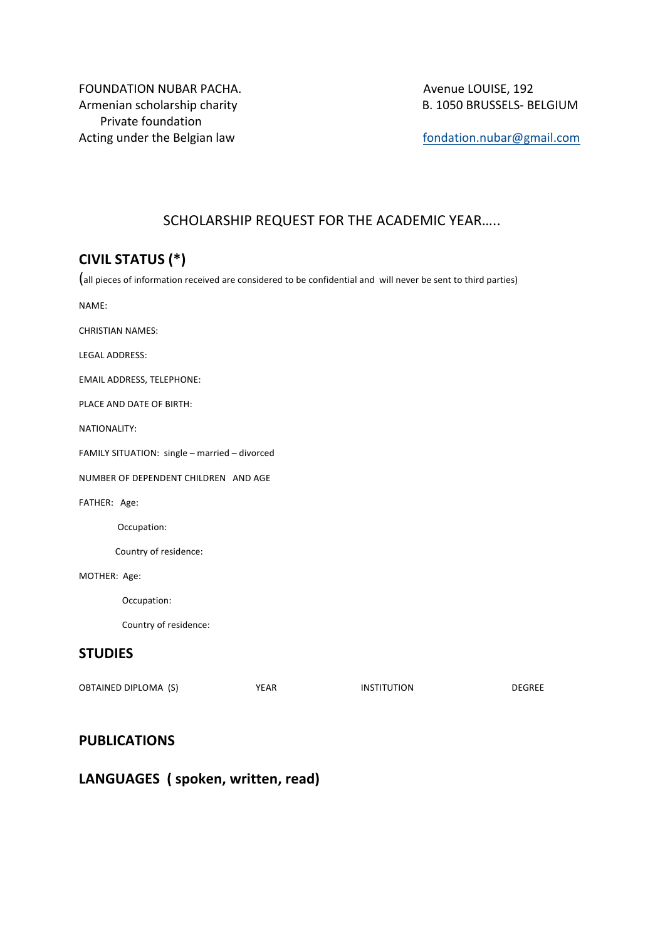FOUNDATION NUBAR PACHA. **A CHACHA COUISE, 192** Avenue LOUISE, 192 Armenian scholarship charity B. 1050 BRUSSELS- BELGIUM Private foundation Acting under the Belgian law and the selgian and the self-the self-the self-the self-the self-the self-the self-the self-the self-the self-the self-the self-the self-the self-the self-the self-the self-the self-the self-th

# SCHOLARSHIP REQUEST FOR THE ACADEMIC YEAR.....

# **CIVIL STATUS (\*)**

(all pieces of information received are considered to be confidential and will never be sent to third parties)

NAME:

**CHRISTIAN NAMES:** 

LEGAL ADDRESS:

EMAIL ADDRESS, TELEPHONE:

PLACE AND DATE OF BIRTH:

NATIONALITY:

FAMILY SITUATION: single - married - divorced

NUMBER OF DEPENDENT CHILDREN AND AGE

FATHER: Age:

 Occupation:

Country of residence:

MOTHER: Age:

 Occupation:

Country of residence:

#### **STUDIES**

OBTAINED DIPLOMA (S) YEAR INSTITUTION DEGREE

#### **PUBLICATIONS**

# LANGUAGES ( spoken, written, read)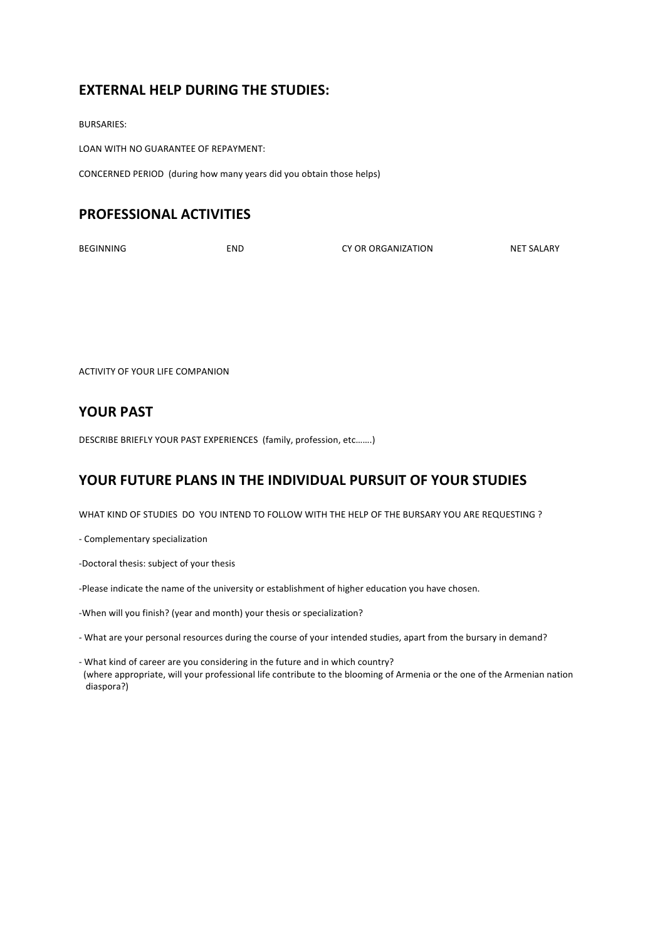# **EXTERNAL HELP DURING THE STUDIES:**

BURSARIES:

LOAN WITH NO GUARANTEE OF REPAYMENT:

CONCERNED PERIOD (during how many years did you obtain those helps)

## **PROFESSIONAL ACTIVITIES**

BEGINNING END CY OR ORGANIZATION NET SALARY

ACTIVITY OF YOUR LIFE COMPANION

### YOUR PAST

DESCRIBE BRIEFLY YOUR PAST EXPERIENCES (family, profession, etc ........)

# YOUR FUTURE PLANS IN THE INDIVIDUAL PURSUIT OF YOUR STUDIES

WHAT KIND OF STUDIES DO YOU INTEND TO FOLLOW WITH THE HELP OF THE BURSARY YOU ARE REQUESTING ?

- Complementary specialization

- -Doctoral thesis: subject of your thesis
- -Please indicate the name of the university or establishment of higher education you have chosen.

-When will you finish? (year and month) your thesis or specialization?

- What are your personal resources during the course of your intended studies, apart from the bursary in demand?
- What kind of career are you considering in the future and in which country? (where appropriate, will your professional life contribute to the blooming of Armenia or the one of the Armenian nation diaspora?)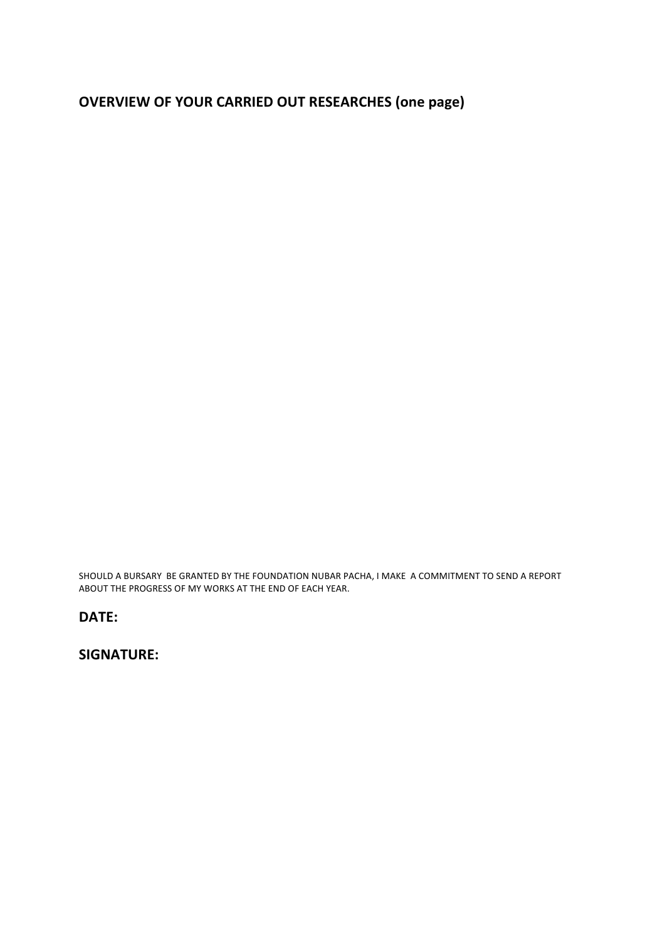# **OVERVIEW OF YOUR CARRIED OUT RESEARCHES (one page)**

SHOULD A BURSARY BE GRANTED BY THE FOUNDATION NUBAR PACHA, I MAKE A COMMITMENT TO SEND A REPORT ABOUT THE PROGRESS OF MY WORKS AT THE END OF EACH YEAR.

#### **DATE:**

**SIGNATURE:**